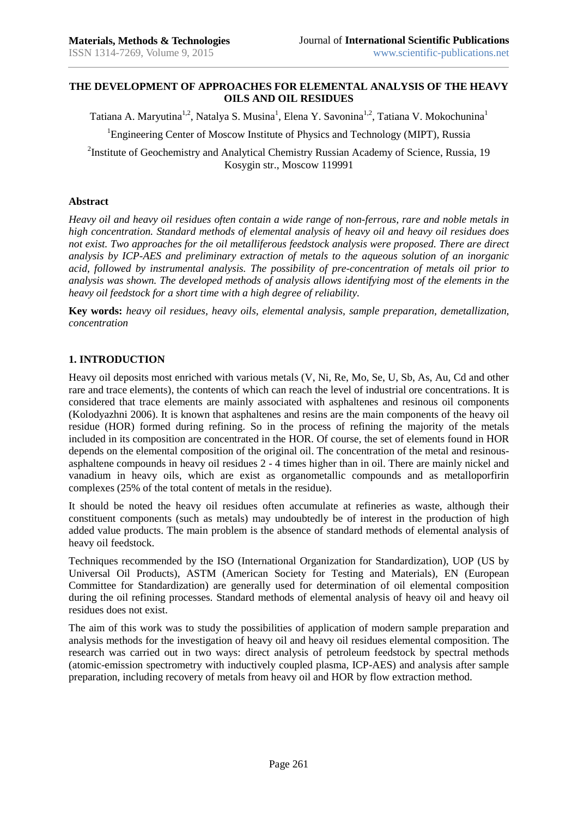### **THE DEVELOPMENT OF APPROACHES FOR ELEMENTAL ANALYSIS OF THE HEAVY OILS AND OIL RESIDUES**

Tatiana A. Maryutina<sup>1,2</sup>, Natalya S. Musina<sup>1</sup>, Elena Y. Savonina<sup>1,2</sup>, Tatiana V. Mokochunina<sup>1</sup>

<sup>1</sup>Engineering Center of Moscow Institute of Physics and Technology (MIPT), Russia

<sup>2</sup>Institute of Geochemistry and Analytical Chemistry Russian Academy of Science, Russia, 19 Kosygin str., Moscow 119991

### **Abstract**

*Heavy oil and heavy oil residues often contain a wide range of non-ferrous, rare and noble metals in high concentration. Standard methods of elemental analysis of heavy oil and heavy oil residues does not exist. Two approaches for the oil metalliferous feedstock analysis were proposed. There are direct analysis by ICP-AES and preliminary extraction of metals to the aqueous solution of an inorganic acid, followed by instrumental analysis. The possibility of pre-concentration of metals oil prior to analysis was shown. The developed methods of analysis allows identifying most of the elements in the heavy oil feedstock for a short time with a high degree of reliability.*

**Key words:** *heavy oil residues, heavy oils, elemental analysis, sample preparation, demetallization, concentration*

### **1. INTRODUCTION**

Heavy oil deposits most enriched with various metals (V, Ni, Re, Mo, Se, U, Sb, As, Au, Cd and other rare and trace elements), the contents of which can reach the level of industrial ore concentrations. It is considered that trace elements are mainly associated with asphaltenes and resinous oil components (Kolodyazhni 2006). It is known that asphaltenes and resins are the main components of the heavy oil residue (HOR) formed during refining. So in the process of refining the majority of the metals included in its composition are concentrated in the HOR. Of course, the set of elements found in HOR depends on the elemental composition of the original oil. The concentration of the metal and resinousasphaltene compounds in heavy oil residues 2 - 4 times higher than in oil. There are mainly nickel and vanadium in heavy oils, which are exist as organometallic compounds and as metalloporfirin complexes (25% of the total content of metals in the residue).

It should be noted the heavy oil residues often accumulate at refineries as waste, although their constituent components (such as metals) may undoubtedly be of interest in the production of high added value products. The main problem is the absence of standard methods of elemental analysis of heavy oil feedstock.

Techniques recommended by the ISO (International Organization for Standardization), UOP (US by Universal Oil Products), ASTM (American Society for Testing and Materials), EN (European Committee for Standardization) are generally used for determination of oil elemental composition during the oil refining processes. Standard methods of elemental analysis of heavy oil and heavy oil residues does not exist.

The aim of this work was to study the possibilities of application of modern sample preparation and analysis methods for the investigation of heavy oil and heavy oil residues elemental composition. The research was carried out in two ways: direct analysis of petroleum feedstock by spectral methods (atomic-emission spectrometry with inductively coupled plasma, ICP-AES) and analysis after sample preparation, including recovery of metals from heavy oil and HOR by flow extraction method.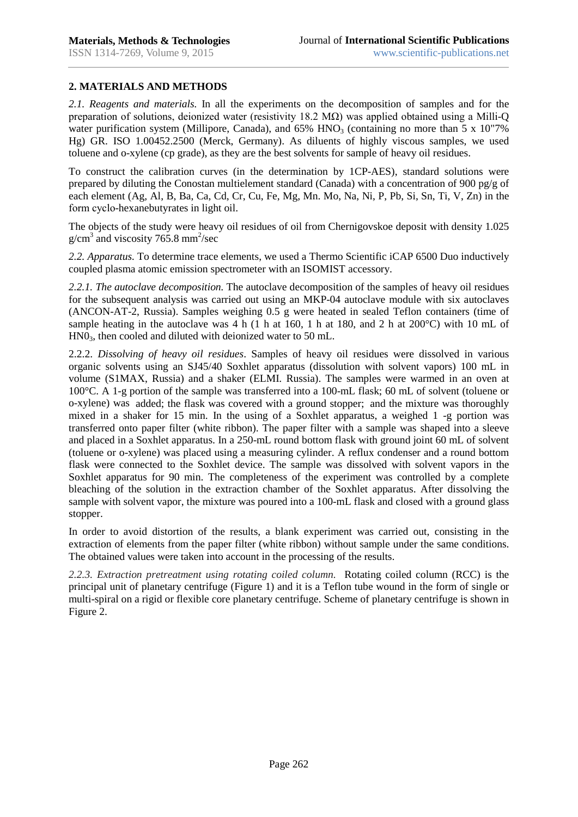# **2. MATERIALS AND METHODS**

*2.1. Reagents and materials.* In all the experiments on the decomposition of samples and for the preparation of solutions, deionized water (resistivity 18.2  $M\Omega$ ) was applied obtained using a Milli-Q water purification system (Millipore, Canada), and  $65\%$  HNO<sub>3</sub> (containing no more than 5 x 10"7% Hg) GR. ISO 1.00452.2500 (Merck, Germany). As diluents of highly viscous samples, we used toluene and o-xylene (cp grade), as they are the best solvents for sample of heavy oil residues.

To construct the calibration curves (in the determination by 1CP-AES), standard solutions were prepared by diluting the Conostan multielement standard (Canada) with a concentration of 900 pg/g of each element (Ag, Al, B, Ba, Ca, Cd, Cr, Cu, Fe, Mg, Mn. Mo, Na, Ni, P, Pb, Si, Sn, Ti, V, Zn) in the form сyclo-hexanebutyrates in light oil.

The objects of the study were heavy oil residues of oil from Chernigovskoe deposit with density 1.025  $g/cm<sup>3</sup>$  and viscosity 765.8 mm<sup>2</sup>/sec

*2.2. Apparatus.* To determine trace elements, we used a Thermo Scientific iCAP 6500 Duo inductively coupled plasma atomic emission spectrometer with an ISOMIST accessory.

*2.2.1. The autoclave decomposition.* The autoclave decomposition of the samples of heavy oil residues for the subsequent analysis was carried out using an MKP-04 autoclave module with six autoclaves (ANCON-AT-2, Russia). Samples weighing 0.5 g were heated in sealed Teflon containers (time of sample heating in the autoclave was 4 h (1 h at 160, 1 h at 180, and 2 h at 200 °C) with 10 mL of HN03, then cooled and diluted with deionized water to 50 mL.

2.2.2. *Dissolving of heavy oil residues*. Samples of heavy oil residues were dissolved in various organic solvents using an SJ45/40 Soxhlet apparatus (dissolution with solvent vapors) 100 mL in volume (S1MAX, Russia) and a shaker (ELMI. Russia). The samples were warmed in an oven at 100°C. A 1-g portion of the sample was transferred into a 100-mL flask; 60 mL of solvent (toluene or o-xylene) was added; the flask was covered with a ground stopper; and the mixture was thoroughly mixed in a shaker for 15 min. In the using of a Soxhlet apparatus, a weighed 1 -g portion was transferred onto paper filter (white ribbon). The paper filter with a sample was shaped into a sleeve and placed in a Soxhlet apparatus. In a 250-mL round bottom flask with ground joint 60 mL of solvent (toluene or o-xylene) was placed using a measuring cylinder. A reflux condenser and a round bottom flask were connected to the Soxhlet device. The sample was dissolved with solvent vapors in the Soxhlet apparatus for 90 min. The completeness of the experiment was controlled by a complete bleaching of the solution in the extraction chamber of the Soxhlet apparatus. After dissolving the sample with solvent vapor, the mixture was poured into a 100-mL flask and closed with a ground glass stopper.

In order to avoid distortion of the results, a blank experiment was carried out, consisting in the extraction of elements from the paper filter (white ribbon) without sample under the same conditions. The obtained values were taken into account in the processing of the results.

*2.2.3. Extraction pretreatment using rotating coiled column.* Rotating coiled column (RCC) is the principal unit of planetary centrifuge (Figure 1) and it is a Teflon tube wound in the form of single or multi-spiral on a rigid or flexible core planetary centrifuge. Scheme of planetary centrifuge is shown in Figure 2.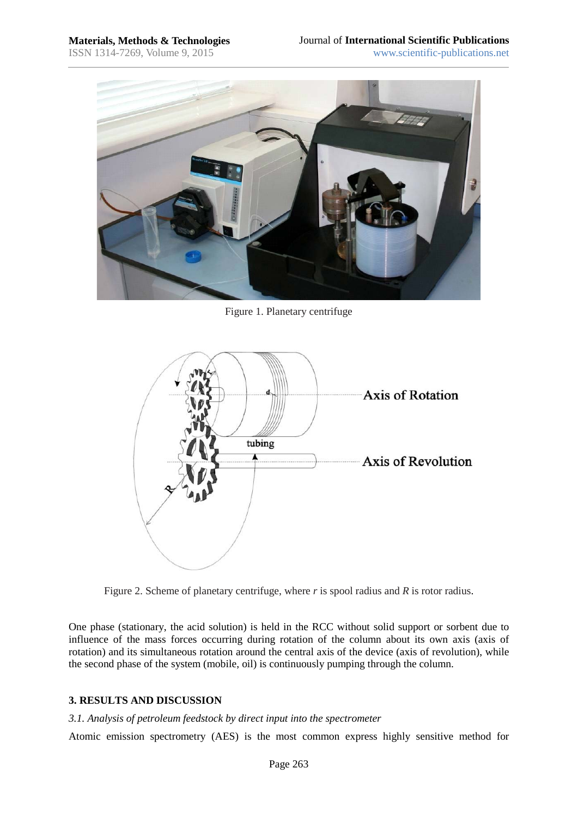

Figure 1. Planetary centrifuge



Figure 2. Scheme of planetary centrifuge, where *r* is spool radius and *R* is rotor radius.

One phase (stationary, the acid solution) is held in the RCC without solid support or sorbent due to influence of the mass forces occurring during rotation of the column about its own axis (axis of rotation) and its simultaneous rotation around the central axis of the device (axis of revolution), while the second phase of the system (mobile, oil) is continuously pumping through the column.

# **3. RESULTS AND DISCUSSION**

#### *3.1. Analysis of petroleum feedstock by direct input into the spectrometer*

Atomic emission spectrometry (AES) is the most common express highly sensitive method for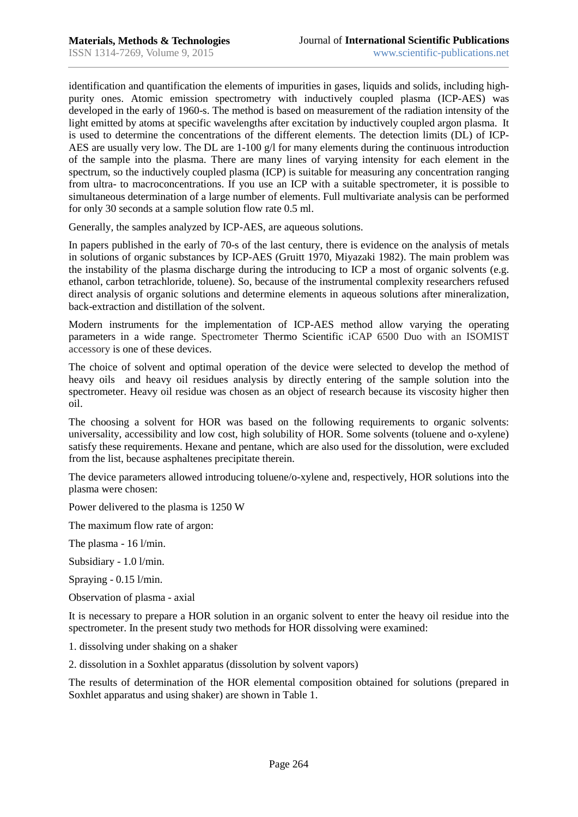identification and quantification the elements of impurities in gases, liquids and solids, including highpurity ones. Atomic emission spectrometry with inductively coupled plasma (ICP-AES) was developed in the early of 1960-s. The method is based on measurement of the radiation intensity of the light emitted by atoms at specific wavelengths after excitation by inductively coupled argon plasma. It is used to determine the concentrations of the different elements. The detection limits (DL) of ICP-AES are usually very low. The DL are  $1-100$  g/l for many elements during the continuous introduction of the sample into the plasma. There are many lines of varying intensity for each element in the spectrum, so the inductively coupled plasma (ICP) is suitable for measuring any concentration ranging from ultra- to macroconcentrations. If you use an ICP with a suitable spectrometer, it is possible to simultaneous determination of a large number of elements. Full multivariate analysis can be performed for only 30 seconds at a sample solution flow rate 0.5 ml.

Generally, the samples analyzed by ICP-AES, are aqueous solutions.

In papers published in the early of 70-s of the last century, there is evidence on the analysis of metals in solutions of organic substances by ICP-AES (Gruitt 1970, Miyazaki 1982). The main problem was the instability of the plasma discharge during the introducing to ICP a most of organic solvents (e.g. ethanol, carbon tetrachloride, toluene). So, because of the instrumental complexity researchers refused direct analysis of organic solutions and determine elements in aqueous solutions after mineralization, back-extraction and distillation of the solvent.

Modern instruments for the implementation of ICP-AES method allow varying the operating parameters in a wide range. Spectrometer Thermo Scientific iCAP 6500 Duo with an ISOMIST accessory is one of these devices.

The choice of solvent and optimal operation of the device were selected to develop the method of heavy oils and heavy oil residues analysis by directly entering of the sample solution into the spectrometer. Heavy oil residue was chosen as an object of research because its viscosity higher then oil.

The choosing a solvent for HOR was based on the following requirements to organic solvents: universality, accessibility and low cost, high solubility of HOR. Some solvents (toluene and o-xylene) satisfy these requirements. Hexane and pentane, which are also used for the dissolution, were excluded from the list, because asphaltenes precipitate therein.

The device parameters allowed introducing toluene/o-xylene and, respectively, HOR solutions into the plasma were chosen:

Power delivered to the plasma is 1250 W

The maximum flow rate of argon:

The plasma - 16 l/min.

Subsidiary - 1.0 l/min.

Spraying - 0.15 l/min.

Observation of plasma - axial

It is necessary to prepare a HOR solution in an organic solvent to enter the heavy oil residue into the spectrometer. In the present study two methods for HOR dissolving were examined:

1. dissolving under shaking on a shaker

2. dissolution in a Soxhlet apparatus (dissolution by solvent vapors)

The results of determination of the HOR elemental composition obtained for solutions (prepared in Soxhlet apparatus and using shaker) are shown in Table 1.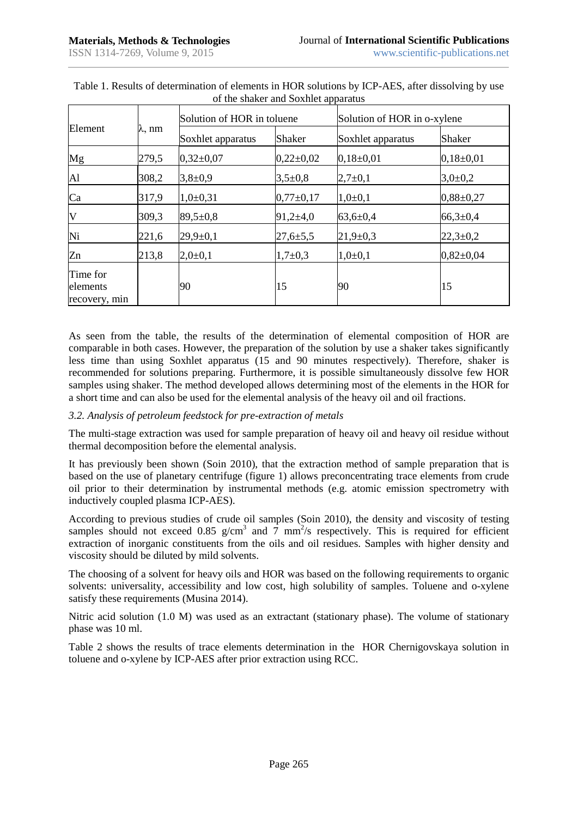| Element                               | $\lambda$ , nm | Solution of HOR in toluene |                | Solution of HOR in o-xylene |                 |
|---------------------------------------|----------------|----------------------------|----------------|-----------------------------|-----------------|
|                                       |                | Soxhlet apparatus          | Shaker         | Soxhlet apparatus           | <b>Shaker</b>   |
| Mg                                    | 279,5          | $0,32{\pm}0,07$            | $0,22\pm0,02$  | $0,18\pm0,01$               | $0,18\pm0,01$   |
| Al                                    | 308,2          | $3,8+0,9$                  | $3,5+0,8$      | $2,7+0,1$                   | $3,0{\pm}0.2$   |
| Ca                                    | 317,9          | $1,0+0,31$                 | $0,77\pm0,17$  | $1,0+0,1$                   | $0,88\pm0,27$   |
| V                                     | 309,3          | $89,5 \pm 0.8$             | $91,2{\pm}4,0$ | $63,6 \pm 0,4$              | $66,3{\pm}0,4$  |
| Ni                                    | 221,6          | $29,9 \pm 0,1$             | $27,6 \pm 5,5$ | $21,9 \pm 0,3$              | $22,3+0,2$      |
| Zn                                    | 213,8          | $2,0+0,1$                  | $1,7+0,3$      | $1,0+0,1$                   | $0,82{\pm}0,04$ |
| Time for<br>elements<br>recovery, min |                | 90                         | 15             | 90                          | 15              |

| Table 1. Results of determination of elements in HOR solutions by ICP-AES, after dissolving by use |  |
|----------------------------------------------------------------------------------------------------|--|
| of the shaker and Soxhlet apparatus                                                                |  |

As seen from the table, the results of the determination of elemental composition of HOR are comparable in both cases. However, the preparation of the solution by use a shaker takes significantly less time than using Soxhlet apparatus (15 and 90 minutes respectively). Therefore, shaker is recommended for solutions preparing. Furthermore, it is possible simultaneously dissolve few HOR samples using shaker. The method developed allows determining most of the elements in the HOR for a short time and can also be used for the elemental analysis of the heavy oil and oil fractions.

# *3.2. Analysis of petroleum feedstock for pre-extraction of metals*

The multi-stage extraction was used for sample preparation of heavy oil and heavy oil residue without thermal decomposition before the elemental analysis.

It has previously been shown (Soin 2010), that the extraction method of sample preparation that is based on the use of planetary centrifuge (figure 1) allows preconcentrating trace elements from crude oil prior to their determination by instrumental methods (e.g. atomic emission spectrometry with inductively coupled plasma ICP-AES).

According to previous studies of crude oil samples (Soin 2010), the density and viscosity of testing samples should not exceed 0.85  $g/cm<sup>3</sup>$  and 7 mm<sup>2</sup>/s respectively. This is required for efficient extraction of inorganic constituents from the oils and oil residues. Samples with higher density and viscosity should be diluted by mild solvents.

The choosing of a solvent for heavy oils and HOR was based on the following requirements to organic solvents: universality, accessibility and low cost, high solubility of samples. Toluene and o-xylene satisfy these requirements (Musina 2014).

Nitric acid solution (1.0 M) was used as an extractant (stationary phase). The volume of stationary phase was 10 ml.

Table 2 shows the results of trace elements determination in the HOR Chernigovskaya solution in toluene and o-xylene by ICP-AES after prior extraction using RCC.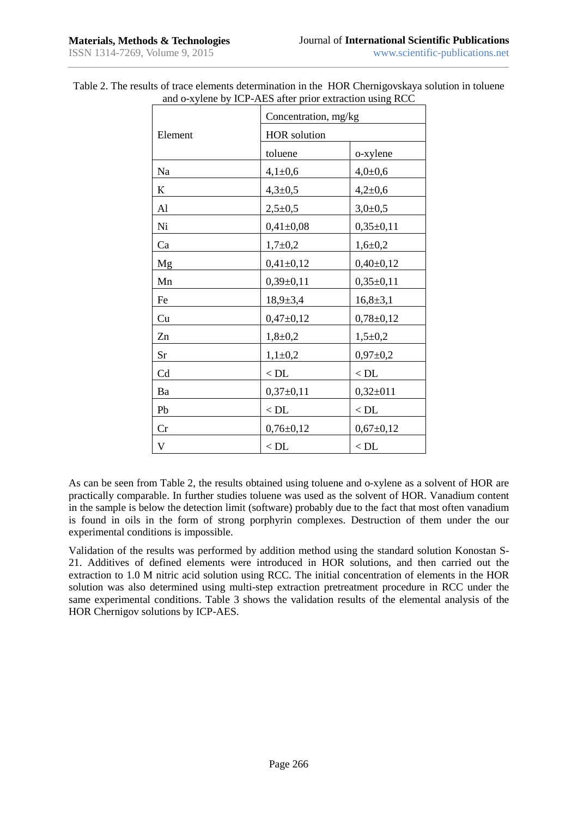|         | Concentration, mg/kg |                 |  |  |
|---------|----------------------|-----------------|--|--|
| Element | <b>HOR</b> solution  |                 |  |  |
|         | toluene              | o-xylene        |  |  |
| Na      | $4,1 \pm 0,6$        | $4,0{\pm}0,6$   |  |  |
| К       | $4,3 \pm 0,5$        | $4,2{\pm}0,6$   |  |  |
| Al      | $2,5+0,5$            | $3,0+0,5$       |  |  |
| Ni      | $0,41\pm0,08$        | $0,35\pm0,11$   |  |  |
| Ca      | $1,7+0,2$            | $1,6+0,2$       |  |  |
| Mg      | $0,41\pm0,12$        | $0,40\pm0,12$   |  |  |
| Mn      | $0,39\pm0,11$        | $0,35\pm0,11$   |  |  |
| Fe      | $18,9{\pm}3,4$       | $16,8+3,1$      |  |  |
| Cu      | $0,47+0,12$          | $0,78 \pm 0,12$ |  |  |
| Zn      | $1,8+0,2$            | $1,5+0,2$       |  |  |
| Sr      | $1,1\pm 0,2$         | $0,97 \pm 0,2$  |  |  |
| Cd      | $<$ DL $\,$          | $<$ DL $\,$     |  |  |
| Ba      | $0,37\pm0,11$        | $0,32\pm011$    |  |  |
| Pb      | $<$ DL               | $<$ DL $\,$     |  |  |
| Cr      | $0,76 \pm 0,12$      | $0,67+0,12$     |  |  |
| V       | $<$ DL               | $<$ DL          |  |  |

Table 2. The results of trace elements determination in the HOR Chernigovskaya solution in toluene and o-xylene by ICP-AES after prior extraction using RCC

As can be seen from Table 2, the results obtained using toluene and o-xylene as a solvent of HOR are practically comparable. In further studies toluene was used as the solvent of HOR. Vanadium content in the sample is below the detection limit (software) probably due to the fact that most often vanadium is found in oils in the form of strong porphyrin complexes. Destruction of them under the our experimental conditions is impossible.

Validation of the results was performed by addition method using the standard solution Konostan S-21. Additives of defined elements were introduced in HOR solutions, and then carried out the extraction to 1.0 M nitric acid solution using RCC. The initial concentration of elements in the HOR solution was also determined using multi-step extraction pretreatment procedure in RCC under the same experimental conditions. Table 3 shows the validation results of the elemental analysis of the HOR Chernigov solutions by ICP-AES.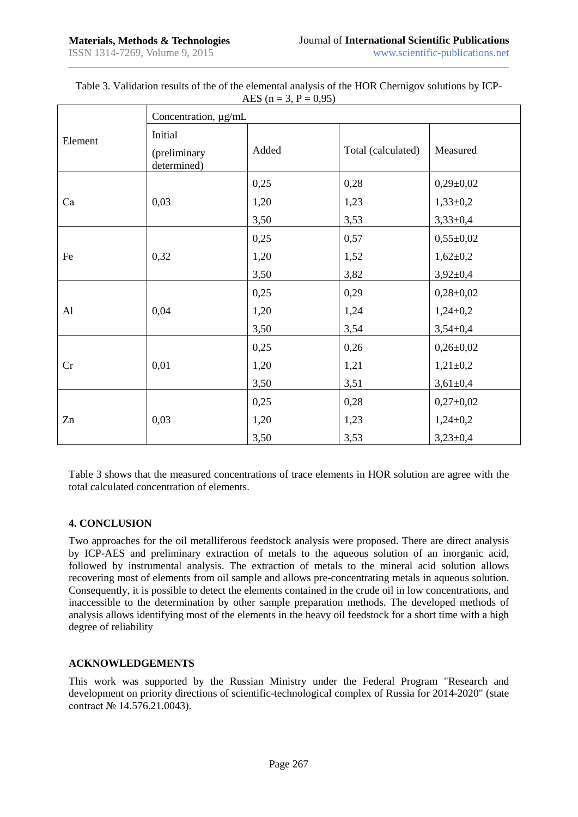|         | Concentration, µg/mL                   |       |                    |                 |  |  |
|---------|----------------------------------------|-------|--------------------|-----------------|--|--|
| Element | Initial<br>(preliminary<br>determined) | Added | Total (calculated) | Measured        |  |  |
|         |                                        | 0,25  | 0,28               | $0,29\pm0,02$   |  |  |
| Ca      | 0,03                                   | 1,20  | 1,23               | $1,33\pm0,2$    |  |  |
|         |                                        | 3,50  | 3,53               | $3,33\pm0,4$    |  |  |
|         |                                        | 0,25  | 0,57               | $0,55 \pm 0,02$ |  |  |
| Fe      | 0,32                                   | 1,20  | 1,52               | $1,62 \pm 0,2$  |  |  |
|         |                                        | 3,50  | 3,82               | $3,92 \pm 0,4$  |  |  |
|         |                                        | 0,25  | 0,29               | $0,28 \pm 0,02$ |  |  |
| AI      | 0,04                                   | 1,20  | 1,24               | $1,24\pm0,2$    |  |  |
|         |                                        | 3,50  | 3,54               | $3,54\pm0,4$    |  |  |
|         |                                        | 0,25  | 0,26               | $0,26 \pm 0,02$ |  |  |
| Cr      | 0,01                                   | 1,20  | 1,21               | $1,21\pm0,2$    |  |  |
|         |                                        | 3,50  | 3,51               | $3,61 \pm 0,4$  |  |  |
|         |                                        | 0,25  | 0,28               | $0,27\pm0,02$   |  |  |
| Zn      | 0,03                                   | 1,20  | 1,23               | $1,24\pm0,2$    |  |  |
|         |                                        | 3,50  | 3,53               | $3,23\pm0,4$    |  |  |

| Table 3. Validation results of the of the elemental analysis of the HOR Chernigov solutions by ICP- |                              |  |
|-----------------------------------------------------------------------------------------------------|------------------------------|--|
|                                                                                                     | AES ( $n = 3$ , $P = 0.95$ ) |  |

Table 3 shows that the measured concentrations of trace elements in HOR solution are agree with the total calculated concentration of elements.

# **4. CONCLUSION**

Two approaches for the oil metalliferous feedstock analysis were proposed. There are direct analysis by ICP-AES and preliminary extraction of metals to the aqueous solution of an inorganic acid, followed by instrumental analysis. The extraction of metals to the mineral acid solution allows recovering most of elements from oil sample and allows pre-concentrating metals in aqueous solution. Consequently, it is possible to detect the elements contained in the crude oil in low concentrations, and inaccessible to the determination by other sample preparation methods. The developed methods of analysis allows identifying most of the elements in the heavy oil feedstock for a short time with a high degree of reliability

#### **ACKNOWLEDGEMENTS**

This work was supported by the Russian Ministry under the Federal Program "Research and development on priority directions of scientific-technological complex of Russia for 2014-2020" (state contract № 14.576.21.0043).